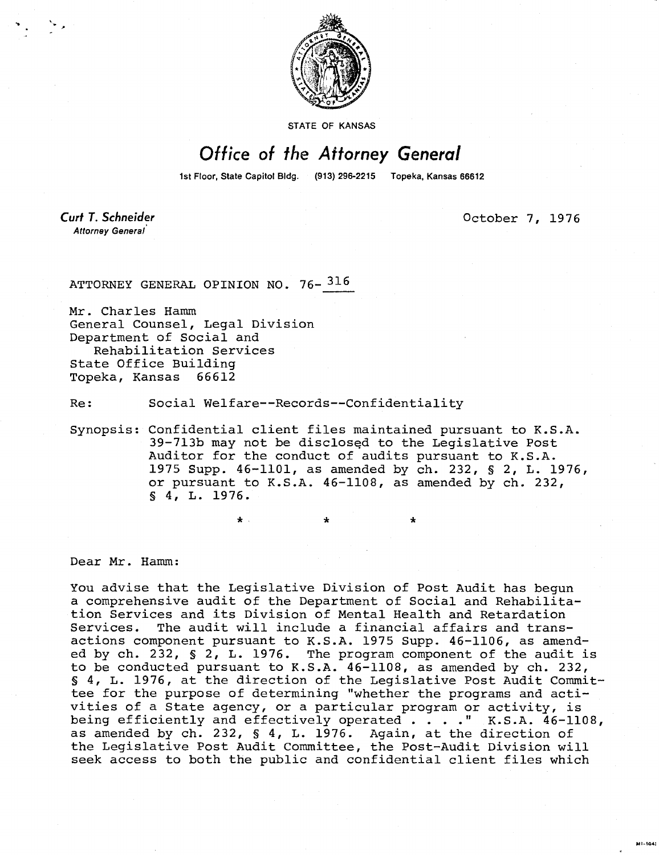

STATE OF KANSAS

## Office of the Attorney General

1st Floor, State Capitol Bldg. (913) 296-2215 Topeka, Kansas 66612

**Curt T. Schneider** Attorney General

October 7, 1976

MI-1043

ATTORNEY GENERAL OPINION NO. 76-<sup>316</sup>

Mr. Charles Hamm General Counsel, Legal Division Department of Social and Rehabilitation Services State Office Building Topeka, Kansas 66612

Re: Social Welfare--Records--Confidentiality

 $\star$ .

Synopsis: Confidential client files maintained pursuant to K.S.A. 39-713b may not be disclosed to the Legislative Post Auditor for the conduct of audits pursuant to K.S.A. 1975 Supp. 46-1101, as amended by ch. 232, § 2, L. 1976, or pursuant to K.S.A. 46-1108, as amended by ch. 232, § 4, L. 1976.

Dear Mr. Hamm:

You advise that the Legislative Division of Post Audit has begun a comprehensive audit of the Department of Social and Rehabilitation Services and its Division of Mental Health and Retardation Services. The audit will include a financial affairs and transactions component pursuant to K.S.A. 1975 Supp. 46-1106, as amended by ch. 232, § 2, L. 1976. The program component of the audit is to be conducted pursuant to K.S.A. 46-1108, as amended by ch. 232, § 4, L. 1976, at the direction of the Legislative Post Audit Committee for the purpose of determining "whether the programs and activities of a State agency, or a particular program or activity, is being efficiently and effectively operated . . . . " K.S.A. 46-1108, as amended by ch. 232, § 4, L. 1976. Again, at the direction of the Legislative Post Audit Committee, the Post-Audit Division will seek access to both the public and confidential client files which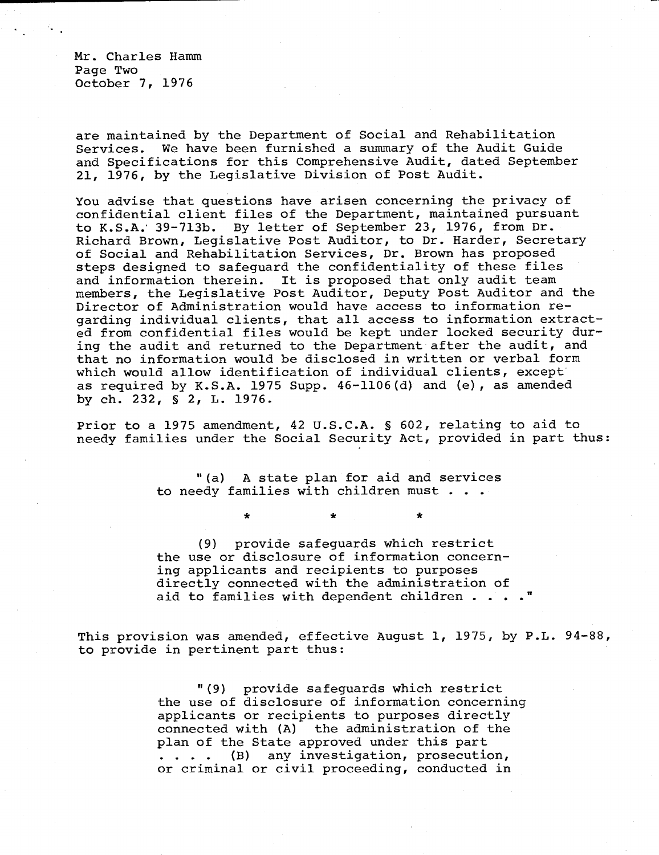Mr. Charles Hamm Page Two October 7, 1976

are maintained by the Department of Social and Rehabilitation Services. We have been furnished a summary of the Audit Guide and Specifications for this Comprehensive Audit, dated September 21, 1976, by the Legislative Division of Post Audit.

You advise that questions have arisen concerning the privacy of confidential client files of the Department, maintained pursuant to K.S.A.' 39-713b. By letter of September 23, 1976, from Dr. Richard Brown, Legislative Post Auditor, to Dr. Harder, Secretary of Social and Rehabilitation Services, Dr. Brown has proposed steps designed to safeguard the confidentiality of these files and information therein. It is proposed that only audit team members, the Legislative Post Auditor, Deputy Post Auditor and the Director of Administration would have access to information regarding individual clients, that all access to information extracted from confidential files would be kept under locked security during the audit and returned to the Department after the audit, and that no information would be disclosed in written or verbal form which would allow identification of individual clients, except as required by K.S.A. 1975 Supp. 46-1106(d) and (e), as amended by ch. 232, § 2, L. 1976.

Prior to a 1975 amendment, 42 U.S.C.A. § 602, relating to aid to needy families under the Social Security Act, provided in part thus:

> "(a) A state plan for aid and services to needy families with children must . . .

> > \*

(9) provide safeguards which restrict the use or disclosure of information concerning applicants and recipients to purposes directly connected with the administration of aid to families with dependent children . . . ."

This provision was amended, effective August 1, 1975, by P.L. 94-88, to provide in pertinent part thus:

> "(9) provide safeguards which restrict the use of disclosure of information concerning applicants or recipients to purposes directly connected with (A) the administration of the plan of the State approved under this part .... (B) any investigation, prosecution, or criminal or civil proceeding, conducted in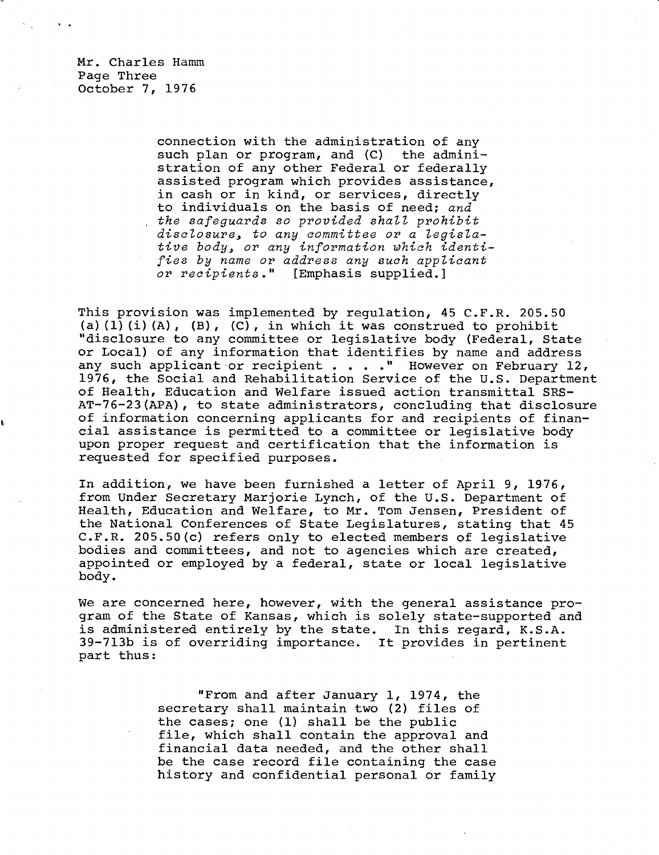Mr. Charles Hamm Page Three October 7, 1976

> connection with the administration of any such plan or program, and (C) the administration of any other Federal or federally assisted program which provides assistance, in cash or in kind, or services, directly to individuals on the basis of need; and the safeguards so provided shall prohibit disclosure, to any committee or a legislative body, or any information which identifies by name or address any such applicant or recipients." [Emphasis supplied.]

This provision was implemented by regulation, 45 C.F.R. 205.50 (a)(1)(i)(A),  $(B)$ , (C), in which it was construed to prohibit "disclosure to any committee or legislative body (Federal, State or Local) of any information that identifies by name and address any such applicant or recipient . . . . " However on February 12, 1976, the Social and Rehabilitation Service of the U.S. Department of Health, Education and Welfare issued action transmittal SRS-AT-76-23(APA), to state administrators, concluding that disclosure of information concerning applicants for and recipients of financial assistance is permitted to a committee or legislative body upon proper request and certification that the information is requested for specified purposes.

In addition, we have been furnished a letter of April 9, 1976, from Under Secretary Marjorie Lynch, of the U.S. Department of Health, Education and Welfare, to Mr. Tom Jensen, President of the National Conferences of State Legislatures, stating that 45 C.F.R. 205.50(c) refers only to elected members of legislative bodies and committees, and not to agencies which are created, appointed or employed by a federal, state or local legislative body.

We are concerned here, however, with the general assistance program of the State of Kansas, which is solely state-supported and is administered entirely by the state. In this regard, K.S.A. 39-713b is of overriding importance. It provides in pertinent part thus:

> "From and after January 1, 1974, the secretary shall maintain two (2) files of the cases; one (1) shall be the public file, which shall contain the approval and financial data needed, and the other shall be the case record file containing the case history and confidential personal or family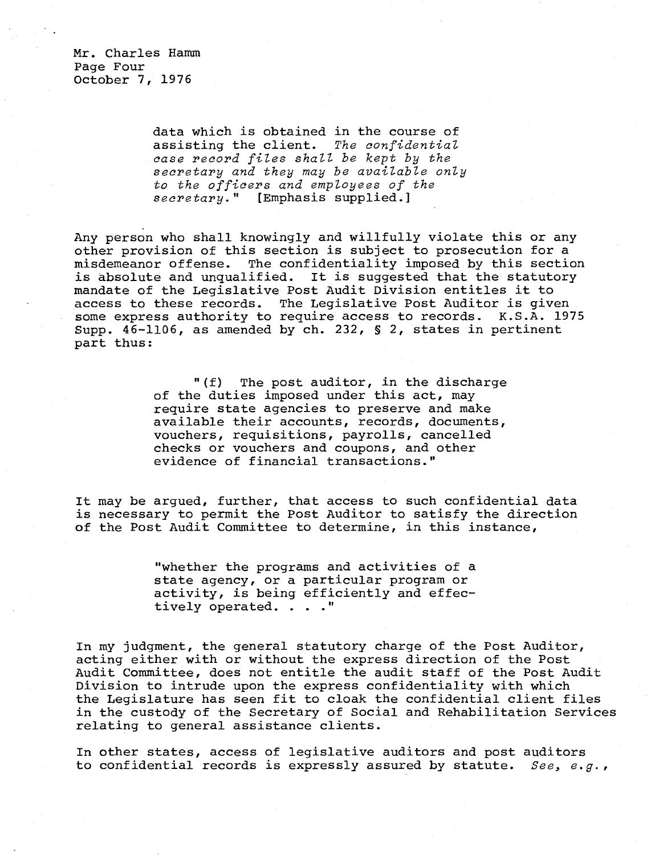Mr. Charles Hamm Page Four October 7, 1976

> data which is obtained in the course of assisting the client. The confidential case record files shall be kept by the secretary and they may be available only to the officers and employees of the secretary." [Emphasis supplied.]

Any person who shall knowingly and willfully violate this or any other provision of this section is subject to prosecution for a misdemeanor offense. The confidentiality imposed by this section is absolute and unqualified. It is suggested that the statutory mandate of the Legislative Post Audit Division entitles it to access to these records. The Legislative Post Auditor is given some express authority to require access to records. K.S.A. 1975 Supp. 46-1106, as amended by ch. 232, § 2, states in pertinent part thus:

> "(f) The post auditor, in the discharge of the duties imposed under this act, may require state agencies to preserve and make available their accounts, records, documents, vouchers, requisitions, payrolls, cancelled checks or vouchers and coupons, and other evidence of financial transactions."

It may be argued, further, that access to such confidential data is necessary to permit the Post Auditor to satisfy the direction of the Post Audit Committee to determine, in this instance,

> "whether the programs and activities of a state agency, or a particular program or activity, is being efficiently and effectively operated. . . ."

In my judgment, the general statutory charge of the Post Auditor, acting either with or without the express direction of the Post Audit Committee, does not entitle the audit staff of the Post Audit Division to intrude upon the express confidentiality with which the Legislature has seen fit to cloak the confidential client files in the custody of the Secretary of Social and Rehabilitation Services relating to general assistance clients.

In other states, access of legislative auditors and post auditors to confidential records is expressly assured by statute. See, e.g.,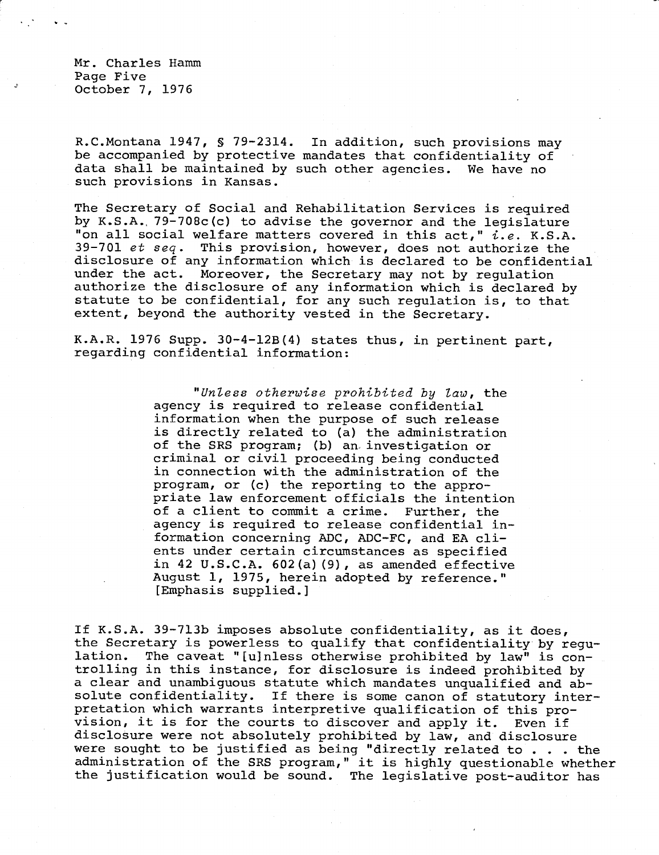Mr. Charles Hamm Page Five October 7, 1976

R.C.Montana 1947, § 79-2314. In addition, such provisions may be accompanied by protective mandates that confidentiality of data shall be maintained by such other agencies. We have no such provisions in Kansas.

The Secretary of Social and Rehabilitation Services is required by K.S.A., 79-708c(c) to advise the governor and the legislature "on all social welfare matters covered in this act," i.e. K.S.A. 39-701 et seq. This provision, however, does not authorize the disclosure of any information which is declared to be confidential under the act. Moreover, the Secretary may not by regulation authorize the disclosure of any information which is declared by statute to be confidential, for any such regulation is, to that extent, beyond the authority vested in the Secretary.

K.A.R. 1976 Supp. 30-4-12B(4) states thus, in pertinent part, regarding confidential information:

> "Unless otherwise prohibited by law, the agency is required to release confidential information when the purpose of such release is directly related to (a) the administration of the SRS program; (b) an investigation or criminal or civil proceeding being conducted in connection with the administration of the program, or (c) the reporting to the appropriate law enforcement officials the intention of a client to commit a crime. Further, the agency is required to release confidential information concerning ADC, ADC-FC, and EA clients under certain circumstances as specified in 42 U.S.C.A. 602(a)(9), as amended effective August 1, 1975, herein adopted by reference." [Emphasis supplied.]

If K.S.A. 39-713b imposes absolute confidentiality, as it does, the Secretary is powerless to qualify that confidentiality by regulation. The caveat "[u]nless otherwise prohibited by law" is controlling in this instance, for disclosure is indeed prohibited by a clear and unambiguous statute which mandates unqualified and absolute confidentiality. If there is some canon of statutory interpretation which warrants interpretive qualification of this provision, it is for the courts to discover and apply it. Even if disclosure were not absolutely prohibited by law, and disclosure were sought to be justified as being "directly related to . . . the administration of the SRS program," it is highly questionable whether the justification would be sound. The legislative post-auditor has